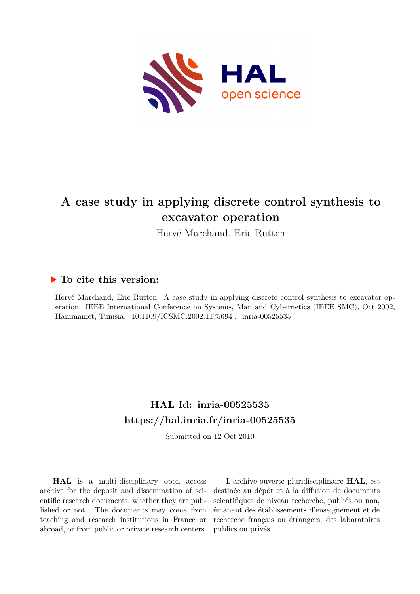

# **A case study in applying discrete control synthesis to excavator operation**

Hervé Marchand, Eric Rutten

# **To cite this version:**

Hervé Marchand, Eric Rutten. A case study in applying discrete control synthesis to excavator operation. IEEE International Conference on Systems, Man and Cybernetics (IEEE SMC), Oct 2002, Hammamet, Tunisia.  $10.1109/ICSMC.2002.1175694$ . inria-00525535

# **HAL Id: inria-00525535 <https://hal.inria.fr/inria-00525535>**

Submitted on 12 Oct 2010

**HAL** is a multi-disciplinary open access archive for the deposit and dissemination of scientific research documents, whether they are published or not. The documents may come from teaching and research institutions in France or abroad, or from public or private research centers.

L'archive ouverte pluridisciplinaire **HAL**, est destinée au dépôt et à la diffusion de documents scientifiques de niveau recherche, publiés ou non, émanant des établissements d'enseignement et de recherche français ou étrangers, des laboratoires publics ou privés.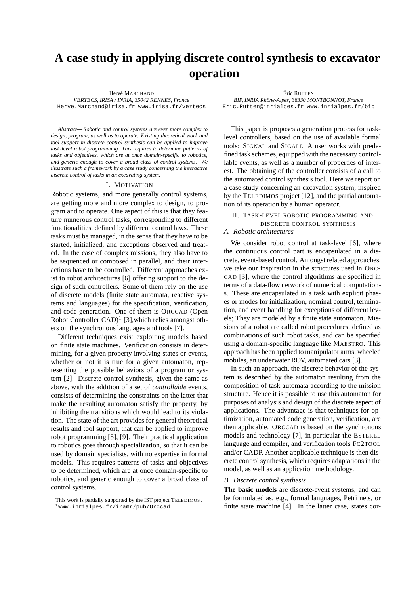# **A case study in applying discrete control synthesis to excavator operation**

*VERTECS, IRISA / INRIA, 35042 RENNES, France BIP, INRIA Rhône-Alpes, 38330 MONTBONNOT, France*

Hervé MARCHAND Éric RUTTEN Eric.Rutten@inrialpes.fr www.inrialpes.fr/bip

*Abstract***—***Robotic and control systems are ever more complex to design, program, as well as to operate. Existing theoretical work and tool support in discrete control synthesis can be applied to improve task-level robot programming. This requires to determine patterns of tasks and objectives, which are at once domain-specific to robotics, and generic enough to cover a broad class of control systems. We illustrate such a framework by a case study concerning the interactive discrete control of tasks in an excavating system.*

#### I. MOTIVATION

Robotic systems, and more generally control systems, are getting more and more complex to design, to program and to operate. One aspect of this is that they feature numerous control tasks, corresponding to different functionalities, defined by different control laws. These tasks must be managed, in the sense that they have to be started, initialized, and exceptions observed and treated. In the case of complex missions, they also have to be sequenced or composed in parallel, and their interactions have to be controlled. Different approaches exist to robot architectures [6] offering support to the design of such controllers. Some of them rely on the use of discrete models (finite state automata, reactive systems and languages) for the specification, verification, and code generation. One of them is ORCCAD (Open Robot Controller  $CAD$ <sup>1</sup> [3], which relies amongst others on the synchronous languages and tools [7].

Different techniques exist exploiting models based on finite state machines. Verification consists in determining, for a given property involving states or events, whether or not it is true for a given automaton, representing the possible behaviors of a program or system [2]. Discrete control synthesis, given the same as above, with the addition of a set of *controllable* events, consists of determining the constraints on the latter that make the resulting automaton satisfy the property, by inhibiting the transitions which would lead to its violation. The state of the art provides for general theoretical results and tool support, that can be applied to improve robot programming [5], [9]. Their practical application to robotics goes through specialization, so that it can be used by domain specialists, with no expertise in formal models. This requires patterns of tasks and objectives to be determined, which are at once domain-specific to robotics, and generic enough to cover a broad class of control systems.

This paper is proposes a generation process for tasklevel controllers, based on the use of available formal tools: SIGNAL and SIGALI. A user works with predefined task schemes, equipped with the necessary controllable events, as well as a number of properties of interest. The obtaining of the controller consists of a call to the automated control synthesis tool. Here we report on a case study concerning an excavation system, inspired by the TELEDIMOS project [12], and the partial automation of its operation by a human operator.

II. TASK-LEVEL ROBOTIC PROGRAMMING AND

# DISCRETE CONTROL SYNTHESIS

# *A. Robotic architectures*

We consider robot control at task-level [6], where the continuous control part is encapsulated in a discrete, event-based control. Amongst related approaches, we take our inspiration in the structures used in ORC-CAD [3], where the control algorithms are specified in terms of a data-flow network of numerical computations. These are encapsulated in a task with explicit phases or modes for initialization, nominal control, termination, and event handling for exceptions of different levels; They are modeled by a finite state automaton. Missions of a robot are called robot procedures, defined as combinations of such robot tasks, and can be specified using a domain-specific language like MAESTRO. This approach has been applied to manipulator arms, wheeled mobiles, an underwater ROV, automated cars [3].

In such an approach, the discrete behavior of the system is described by the automaton resulting from the composition of task automata according to the mission structure. Hence it is possible to use this automaton for purposes of analysis and design of the discrete aspect of applications. The advantage is that techniques for optimization, automated code generation, verification, are then applicable. ORCCAD is based on the synchronous models and technology [7], in particular the ESTEREL language and compiler, and verification tools FC2TOOL and/or CADP. Another applicable technique is then discrete control synthesis, which requires adaptations in the model, as well as an application methodology.

#### *B. Discrete control synthesis*

**The basic models** are discrete-event systems, and can be formulated as, e.g., formal languages, Petri nets, or finite state machine [4]. In the latter case, states cor-

This work is partially supported by the IST project TELEDIMOS . <sup>1</sup>www.inrialpes.fr/iramr/pub/Orccad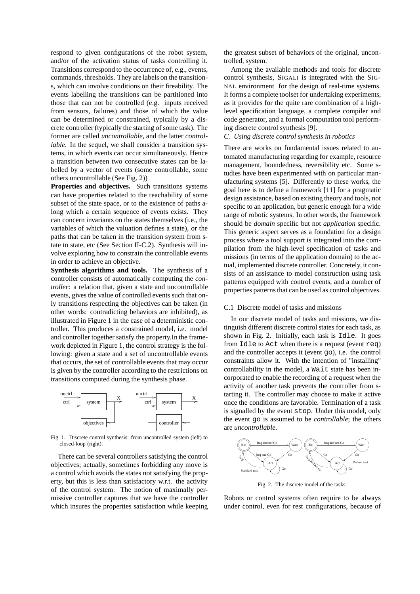respond to given configurations of the robot system, and/or of the activation status of tasks controlling it. Transitions correspond to the occurrence of, e.g., events, commands, thresholds. They are labels on the transitions, which can involve conditions on their fireability. The events labelling the transitions can be partitioned into those that can not be controlled (e.g. inputs received from sensors, failures) and those of which the value can be determined or constrained, typically by a discrete controller (typically the starting of some task). The former are called *uncontrollable*, and the latter *controllable*. In the sequel, we shall consider a transition systems, in which events can occur simultaneously. Hence a transition between two consecutive states can be labelled by a vector of events (some controllable, some others uncontrollable (See Fig. 2))

**Properties and objectives.** Such transitions systems can have properties related to the reachability of some subset of the state space, or to the existence of paths along which a certain sequence of events exists. They can concern invariants on the states themselves (i.e., the variables of which the valuation defines a state), or the paths that can be taken in the transition system from state to state, etc (See Section II-C.2). Synthesis will involve exploring how to constrain the controllable events in order to achieve an objective.

**Synthesis algorithms and tools.** The synthesis of a controller consists of automatically computing the *controller*: a relation that, given a state and uncontrollable events, gives the value of controlled events such that only transitions respecting the objectives can be taken (in other words: contradicting behaviors are inhibited), as illustrated in Figure 1 in the case of a deterministic controller. This produces a constrained model, i.e. model and controller together satisfy the property.In the framework depicted in Figure 1, the control strategy is the following: given a state and a set of uncontrollable events that occurs, the set of controllable events that may occur is given by the controller according to the restrictions on transitions computed during the synthesis phase.



Fig. 1. Discrete control synthesis: from uncontrolled system (left) to closed-loop (right).

There can be several controllers satisfying the control objectives; actually, sometimes forbidding any move is a control which avoids the states not satisfying the property, but this is less than satisfactory w.r.t. the activity of the control system. The notion of maximally permissive controller captures that we have the controller which insures the properties satisfaction while keeping

the greatest subset of behaviors of the original, uncontrolled, system.

Among the available methods and tools for discrete control synthesis, SIGALI is integrated with the SIG-NAL environment for the design of real-time systems. It forms a complete toolset for undertaking experiments, as it provides for the quite rare combination of a highlevel specification language, a complete compiler and code generator, and a formal computation tool performing discrete control synthesis [9].

## *C. Using discrete control synthesis in robotics*

There are works on fundamental issues related to automated manufacturing regarding for example, resource management, boundedness, reversibility etc. Some studies have been experimented with on particular manufacturing systems [5]. Differently to these works, the goal here is to define a framework [11] for a pragmatic design assistance, based on existing theory and tools, not specific to an application, but generic enough for a wide range of robotic systems. In other words, the framework should be *domain* specific but not *application* specific. This generic aspect serves as a foundation for a design process where a tool support is integrated into the compilation from the high-level specification of tasks and missions (in terms of the application domain) to the actual, implemented discrete controller. Concretely, it consists of an assistance to model construction using task patterns equipped with control events, and a number of properties patterns that can be used as control objectives.

# C.1 Discrete model of tasks and missions

In our discrete model of tasks and missions, we distinguish different discrete control states for each task, as shown in Fig. 2. Initially, each task is Idle. It goes from Idle to Act when there is a request (event req) and the controller accepts it (event  $\infty$ ), i.e. the control constraints allow it. With the intention of "installing" controllability in the model, a Wait state has been incorporated to enable the recording of a request when the activity of another task prevents the controller from starting it. The controller may choose to make it active once the conditions are favorable. Termination of a task is signalled by the event stop. Under this model, only the event go is assumed to be *controllable*; the others are *uncontrollable*.



Fig. 2. The discrete model of the tasks.

Robots or control systems often require to be always under control, even for rest configurations, because of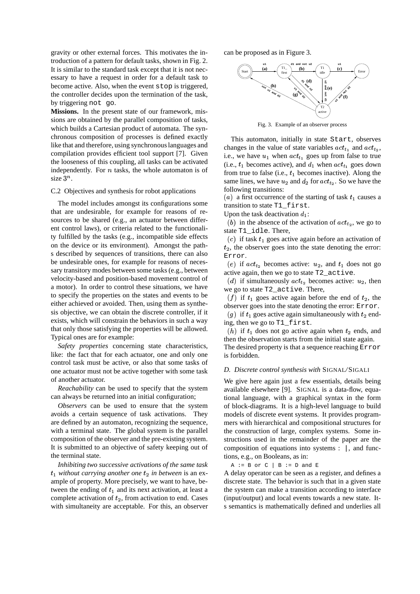gravity or other external forces. This motivates the introduction of a pattern for default tasks, shown in Fig. 2. It is similar to the standard task except that it is not necessary to have a request in order for a default task to become active. Also, when the event stop is triggered, the controller decides upon the termination of the task, by triggering not go.

**Missions.** In the present state of our framework, missions are obtained by the parallel composition of tasks, which builds a Cartesian product of automata. The synchronous composition of processes is defined exactly like that and therefore, using synchronouslanguages and compilation provides efficient tool support [7]. Given the looseness of this coupling, all tasks can be activated independently. For  $n$  tasks, the whole automaton is of size  $3^n$ . .

#### C.2 Objectives and synthesis for robot applications

The model includes amongst its configurations some that are undesirable, for example for reasons of resources to be shared (e.g., an actuator between different control laws), or criteria related to the functionality fulfilled by the tasks (e.g., incompatible side effects on the device or its environment). Amongst the paths described by sequences of transitions, there can also be undesirable ones, for example for reasons of necessary transitory modes between some tasks (e.g., between velocity-based and position-based movement control of a motor). In order to control these situations, we have to specify the properties on the states and events to be either achieved or avoided. Then, using them as synthesis objective, we can obtain the discrete controller, if it exists, which will constrain the behaviors in such a way that only those satisfying the properties will be allowed. Typical ones are for example:

*Safety properties* concerning state characteristics, like: the fact that for each actuator, one and only one control task must be active, or also that some tasks of one actuator must not be active together with some task of another actuator.

*Reachability* can be used to specify that the system can always be returned into an initial configuration;

*Observers* can be used to ensure that the system avoids a certain sequence of task activations. They are defined by an automaton, recognizing the sequence, with a terminal state. The global system is the parallel composition of the observer and the pre-existing system. It is submitted to an objective of safety keeping out of the terminal state.

*Inhibiting two successive activations of the same task*  $t_1$  *without carrying another one*  $t_2$  *in between* is an example of property. More precisely, we want to have, between the ending of  $t_1$  and its next activation, at least a complete activation of  $t_2$ , from activation to end. Cases with simultaneity are acceptable. For this, an observer can be proposed as in Figure 3.



Fig. 3. Example of an observer process

This automaton, initially in state Start, observes changes in the value of state variables  $act_{t_1}$  and  $act_{t_2}$ , i.e., we have  $u_1$  when  $act_{t_1}$  goes up from false to true (i.e.,  $t_1$  becomes active), and  $d_1$  when  $act_{t_1}$  goes down from true to false (i.e.,  $t_1$  becomes inactive). Along the same lines, we have  $u_2$  and  $d_2$  for  $act_{t_2}$ . So we have the following transitions:

(a) a first occurrence of the starting of task  $t_1$  causes a transition to state T1 first.

Upon the task deactivation  $d_1$ :

(b) in the absence of the activation of  $act_{t_2}$ , we go to state T1\_idle. There,

(c) if task  $t_1$  goes active again before an activation of  $t_2$ , the observer goes into the state denoting the error: Error.

(e) if  $act_{t_2}$  becomes active:  $u_2$ , and  $t_1$  does not go active again, then we go to state T2\_active.

(d) if simultaneously  $act_{t_2}$  becomes active:  $u_2$ , then we go to state T2\_active. There,

(f) if  $t_1$  goes active again before the end of  $t_2$ , the observer goes into the state denoting the error: Error.

(g) if  $t_1$  goes active again simultaneously with  $t_2$  ending, then we go to T1\_first.

(*h*) if  $t_1$  does not go active again when  $t_2$  ends, and then the observation starts from the initial state again. The desired property is that a sequence reaching Error is forbidden.

# *D. Discrete control synthesis with* SIGNAL*/*SIGALI

We give here again just a few essentials, details being available elsewhere [9]. SIGNAL is a data-flow, equational language, with a graphical syntax in the form of block-diagrams. It is a high-level language to build models of discrete event systems. It provides programmers with hierarchical and compositional structures for the construction of large, complex systems. Some instructions used in the remainder of the paper are the composition of equations into systems : |, and functions, e.g., on Booleans, as in:

 $A := B$  or  $C \mid B := D$  and  $E$ 

A delay operator can be seen as a register, and defines a discrete state. The behavior is such that in a given state the system can make a transition according to interface (input/output) and local events towards a new state. Its semantics is mathematically defined and underlies all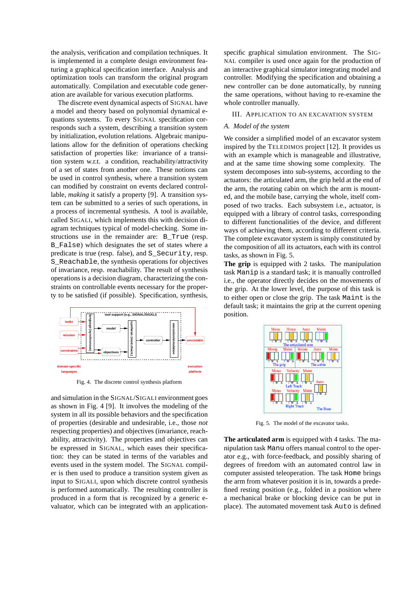the analysis, verification and compilation techniques. It is implemented in a complete design environment featuring a graphical specification interface. Analysis and optimization tools can transform the original program automatically. Compilation and executable code generation are available for various execution platforms.

The discrete event dynamical aspects of SIGNAL have a model and theory based on polynomial dynamical equations systems. To every SIGNAL specification corresponds such a system, describing a transition system by initialization, evolution relations. Algebraic manipulations allow for the definition of operations checking satisfaction of properties like: invariance of a transition system w.r.t. a condition, reachability/attractivity of a set of states from another one. These notions can be used in control synthesis, where a transition system can modified by constraint on events declared controllable, *making* it satisfy a property [9]. A transition system can be submitted to a series of such operations, in a process of incremental synthesis. A tool is available, called SIGALI, which implements this with decision diagram techniques typical of model-checking. Some instructions use in the remainder are: B\_True (resp. B\_False) which designates the set of states where a predicate is true (resp. false), and S\_Security, resp. S\_Reachable, the synthesis operations for objectives of invariance, resp. reachability. The result of synthesis operations is a decision diagram, characterizing the constraints on controllable events necessary for the property to be satisfied (if possible). Specification, synthesis,



Fig. 4. The discrete control synthesis platform

and simulation in the SIGNAL/SIGALI environment goes as shown in Fig. 4 [9]. It involves the modeling of the system in all its possible behaviors and the specification of properties (desirable and undesirable, i.e., those *not* respecting properties) and objectives (invariance, reachability, attractivity). The properties and objectives can be expressed in SIGNAL, which eases their specification: they can be stated in terms of the variables and events used in the system model. The SIGNAL compiler is then used to produce a transition system given as input to SIGALI, upon which discrete control synthesis is performed automatically. The resulting controller is produced in a form that is recognized by a generic evaluator, which can be integrated with an applicationspecific graphical simulation environment. The SIG-NAL compiler is used once again for the production of an interactive graphical simulator integrating model and controller. Modifying the specification and obtaining a new controller can be done automatically, by running the same operations, without having to re-examine the whole controller manually.

### III. APPLICATION TO AN EXCAVATION SYSTEM

### *A. Model of the system*

We consider a simplified model of an excavator system inspired by the TELEDIMOS project [12]. It provides us with an example which is manageable and illustrative, and at the same time showing some complexity. The system decomposes into sub-systems, according to the actuators: the articulated arm, the grip held at the end of the arm, the rotating cabin on which the arm is mounted, and the mobile base, carrying the whole, itself composed of two tracks. Each subsystem i.e., actuator, is equipped with a library of control tasks, corresponding to different functionalities of the device, and different ways of achieving them, according to different criteria. The complete excavator system is simply constituted by the composition of all its actuators, each with its control tasks, as shown in Fig. 5.

**The grip** is equipped with 2 tasks. The manipulation task Manip is a standard task; it is manually controlled i.e., the operator directly decides on the movements of the grip. At the lower level, the purpose of this task is to either open or close the grip. The task Maint is the default task; it maintains the grip at the current opening position.



Fig. 5. The model of the excavator tasks.

**The articulated arm** is equipped with 4 tasks. The manipulation task Manu offers manual control to the operator e.g., with force-feedback, and possibly sharing of degrees of freedom with an automated control law in computer assisted teleoperation. The task Home brings the arm from whatever position it is in, towards a predefined resting position (e.g., folded in a position where a mechanical brake or blocking device can be put in place). The automated movement task Auto is defined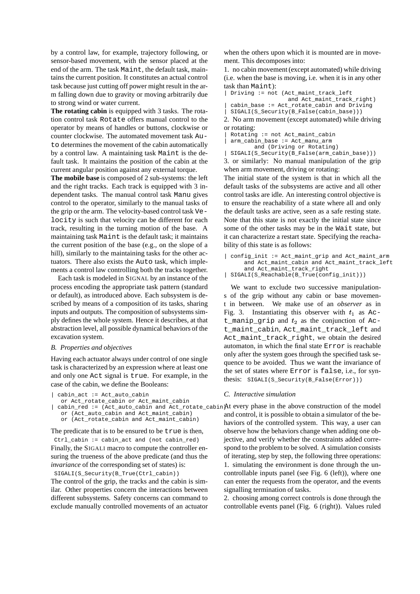by a control law, for example, trajectory following, or sensor-based movement, with the sensor placed at the end of the arm. The task Maint, the default task, maintains the current position. It constitutes an actual control task because just cutting off power might result in the arm falling down due to gravity or moving arbitrarily due to strong wind or water current.

**The rotating cabin** is equipped with 3 tasks. The rotation control task Rotate offers manual control to the operator by means of handles or buttons, clockwise or counter clockwise. The automated movement task Auto determines the movement of the cabin automatically by a control law. A maintaining task Maint is the default task. It maintains the position of the cabin at the current angular position against any external torque.

**The mobile base** is composed of 2 sub-systems: the left and the right tracks. Each track is equipped with 3 independent tasks. The manual control task Manu gives control to the operator, similarly to the manual tasks of the grip or the arm. The velocity-based control task Velocity is such that velocity can be different for each track, resulting in the turning motion of the base. A maintaining task Maint is the default task; it maintains the current position of the base (e.g., on the slope of a hill), similarly to the maintaining tasks for the other actuators. There also exists the Auto task, which implements a control law controlling both the tracks together.

Each task is modeled in SIGNAL by an instance of the process encoding the appropriate task pattern (standard or default), as introduced above. Each subsystem is described by means of a composition of its tasks, sharing inputs and outputs. The composition of subsystems simply defines the whole system. Hence it describes, at that abstraction level, all possible dynamical behaviors of the excavation system.

#### *B. Properties and objectives*

Having each actuator always under control of one single task is characterized by an expression where at least one and only one Act signal is true. For example, in the case of the cabin, we define the Booleans:

```
| cabin_act := Act_auto_cabin
```

```
or Act_rotate_cabin or Act_maint_cabin
```

```
or (Act_auto_cabin and Act_maint_cabin)
or (Act_rotate_cabin and Act_maint_cabin)
```
The predicate that is to be ensured to be true is then, Ctrl\_cabin := cabin\_act and (not cabin\_red) Finally, the SIGALI macro to compute the controller ensuring the trueness of the above predicate (and thus the *invariance* of the corresponding set of states) is:

SIGALI(S Security(B True(Ctrl cabin))

The control of the grip, the tracks and the cabin is similar. Other properties concern the interactions between different subsystems. Safety concerns can command to exclude manually controlled movements of an actuator when the others upon which it is mounted are in movement. This decomposes into:

1. no cabin movement(except automated) while driving (i.e. when the base is moving, i.e. when it is in any other task than Maint):

```
| Driving := not (Act_maint_track_left
                 and Act maint track right)
| cabin_base := Act_rotate_cabin and Driving
```

```
| SIGALI(S_Security(B_False(cabin_base)))
```
2. No arm movement (except automated) while driving or rotating:

```
| Rotating := not Act_maint_cabin
```
| arm\_cabin\_base := Act\_manu\_arm

```
and (Driving or Rotating)
```
| SIGALI(S\_Security(B\_False(arm\_cabin\_base))) 3. or similarly: No manual manipulation of the grip when arm movement, driving or rotating:

The initial state of the system is that in which all the default tasks of the subsystems are active and all other control tasks are idle. An interesting control objective is to ensure the reachability of a state where all and only the default tasks are active, seen as a safe resting state. Note that this state is not exactly the initial state since some of the other tasks may be in the Wait state, but it can characterize a restart state. Specifying the reachability of this state is as follows:

| config\_init := Act\_maint\_grip and Act\_maint\_arm and Act\_maint\_cabin and Act\_maint\_track\_left and Act\_maint\_track\_right

```
| SIGALI(S_Reachable(B_True(config_init)))
```
We want to exclude two successive manipulations of the grip without any cabin or base movement in between. We make use of an *observer* as in Fig. 3. Instantiating this observer with  $t_1$  as Act\_manip\_grip and  $t_2$  as the conjunction of Act\_maint\_cabin, Act\_maint\_track\_left and Act maint track right, we obtain the desired automaton, in which the final state Error is reachable only after the system goes through the specified task sequence to be avoided. Thus we want the invariance of the set of states where Error is false, i.e., for synthesis: SIGALI(S\_Security(B\_False(Error)))

### *C. Interactive simulation*

| cabin\_red := (Act\_auto\_cabin and Act\_rotate\_cabin) At every phase in the above construction of the model and control, it is possible to obtain a simulator of the behaviors of the controlled system. This way, a user can observe how the behaviors change when adding one objective, and verify whether the constraints added correspond to the problem to be solved. A simulation consists of iterating, step by step, the following three operations: 1. simulating the environment is done through the uncontrollable inputs panel (see Fig. 6 (left)), where one can enter the requests from the operator, and the events signalling termination of tasks.

> 2. choosing among correct controls is done through the controllable events panel (Fig. 6 (right)). Values ruled